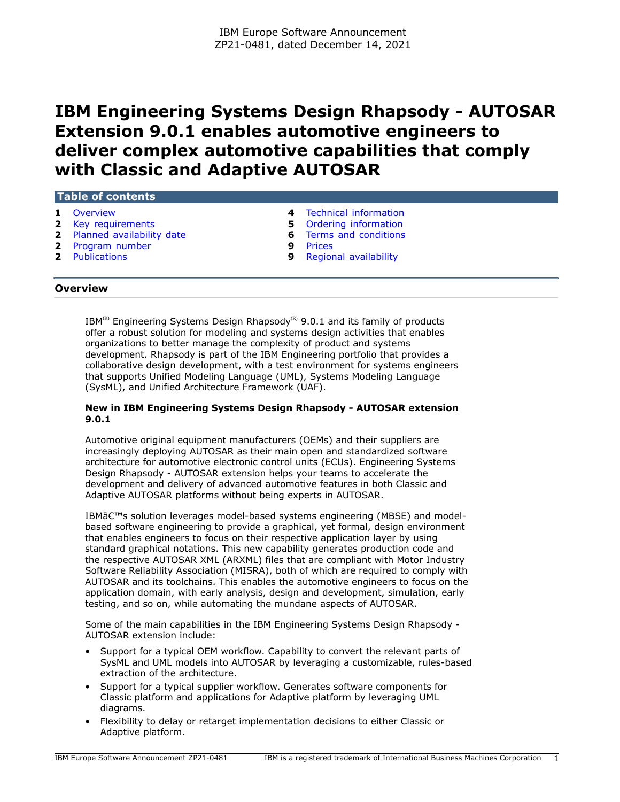# **IBM Engineering Systems Design Rhapsody - AUTOSAR Extension 9.0.1 enables automotive engineers to deliver complex automotive capabilities that comply with Classic and Adaptive AUTOSAR**

## **Table of contents**

- 
- **2** [Key requirements](#page-1-0) **5**
- **2** [Planned availability date](#page-1-1) **6** [Terms and conditions](#page-5-0)
- **2** [Program number](#page-1-2) **9** [Prices](#page-8-0)
- 
- **1** [Overview](#page-0-0) **1** Overview **1** Overview **4** [Technical information](#page-3-0) **4 4** Overview **4** Overview **5** Ordering information
	-
	- -
- **2** [Publications](#page-1-3) **9** [Regional availability](#page-8-1)

## <span id="page-0-0"></span>**Overview**

 $IBM^{(R)}$  Engineering Systems Design Rhapsody<sup>(R)</sup> 9.0.1 and its family of products offer a robust solution for modeling and systems design activities that enables organizations to better manage the complexity of product and systems development. Rhapsody is part of the IBM Engineering portfolio that provides a collaborative design development, with a test environment for systems engineers that supports Unified Modeling Language (UML), Systems Modeling Language (SysML), and Unified Architecture Framework (UAF).

## **New in IBM Engineering Systems Design Rhapsody - AUTOSAR extension 9.0.1**

Automotive original equipment manufacturers (OEMs) and their suppliers are increasingly deploying AUTOSAR as their main open and standardized software architecture for automotive electronic control units (ECUs). Engineering Systems Design Rhapsody - AUTOSAR extension helps your teams to accelerate the development and delivery of advanced automotive features in both Classic and Adaptive AUTOSAR platforms without being experts in AUTOSAR.

IBM $\hat{\mathcal{A}}^{\text{TM}}$ s solution leverages model-based systems engineering (MBSE) and modelbased software engineering to provide a graphical, yet formal, design environment that enables engineers to focus on their respective application layer by using standard graphical notations. This new capability generates production code and the respective AUTOSAR XML (ARXML) files that are compliant with Motor Industry Software Reliability Association (MISRA), both of which are required to comply with AUTOSAR and its toolchains. This enables the automotive engineers to focus on the application domain, with early analysis, design and development, simulation, early testing, and so on, while automating the mundane aspects of AUTOSAR.

Some of the main capabilities in the IBM Engineering Systems Design Rhapsody - AUTOSAR extension include:

- Support for a typical OEM workflow. Capability to convert the relevant parts of SysML and UML models into AUTOSAR by leveraging a customizable, rules-based extraction of the architecture.
- Support for a typical supplier workflow. Generates software components for Classic platform and applications for Adaptive platform by leveraging UML diagrams.
- Flexibility to delay or retarget implementation decisions to either Classic or Adaptive platform.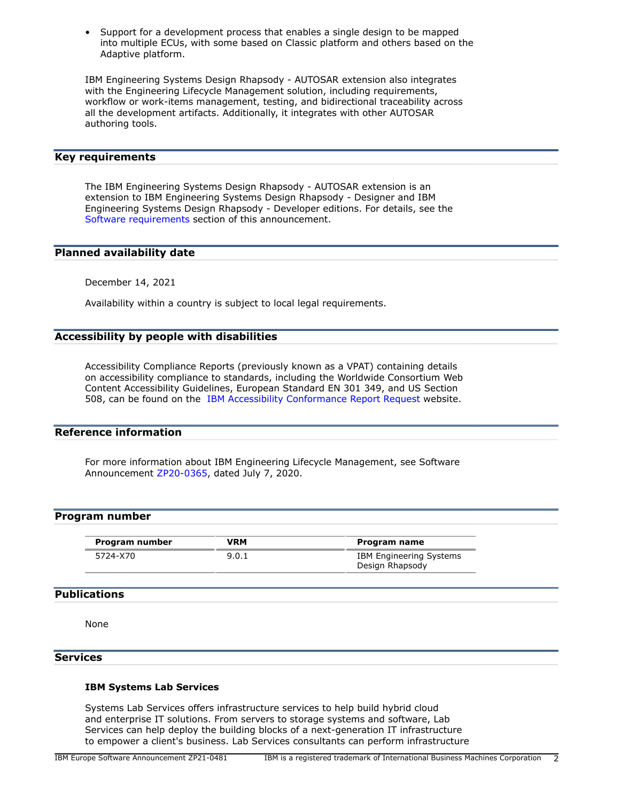• Support for a development process that enables a single design to be mapped into multiple ECUs, with some based on Classic platform and others based on the Adaptive platform.

IBM Engineering Systems Design Rhapsody - AUTOSAR extension also integrates with the Engineering Lifecycle Management solution, including requirements, workflow or work-items management, testing, and bidirectional traceability across all the development artifacts. Additionally, it integrates with other AUTOSAR authoring tools.

# <span id="page-1-0"></span>**Key requirements**

The IBM Engineering Systems Design Rhapsody - AUTOSAR extension is an extension to IBM Engineering Systems Design Rhapsody - Designer and IBM Engineering Systems Design Rhapsody - Developer editions. For details, see the [Software requirements](#page-3-1) section of this announcement.

#### <span id="page-1-1"></span>**Planned availability date**

December 14, 2021

Availability within a country is subject to local legal requirements.

## **Accessibility by people with disabilities**

Accessibility Compliance Reports (previously known as a VPAT) containing details on accessibility compliance to standards, including the Worldwide Consortium Web Content Accessibility Guidelines, European Standard EN 301 349, and US Section 508, can be found on the [IBM Accessibility Conformance Report Request](https://www.ibm.com/able/product_accessibility/) website.

# **Reference information**

For more information about IBM Engineering Lifecycle Management, see Software Announcement [ZP20-0365,](http://www.ibm.com/common/ssi/cgi-bin/ssialias?infotype=an&subtype=ca&appname=gpateam&supplier=877&letternum=ENUSZP20-0365) dated July 7, 2020.

#### <span id="page-1-2"></span>**Program number**

| Program number | VRM   | Program name                                      |
|----------------|-------|---------------------------------------------------|
| 5724-X70       | 9.0.1 | <b>IBM Engineering Systems</b><br>Design Rhapsody |

#### <span id="page-1-3"></span>**Publications**

None

## **Services**

#### **IBM Systems Lab Services**

Systems Lab Services offers infrastructure services to help build hybrid cloud and enterprise IT solutions. From servers to storage systems and software, Lab Services can help deploy the building blocks of a next-generation IT infrastructure to empower a client's business. Lab Services consultants can perform infrastructure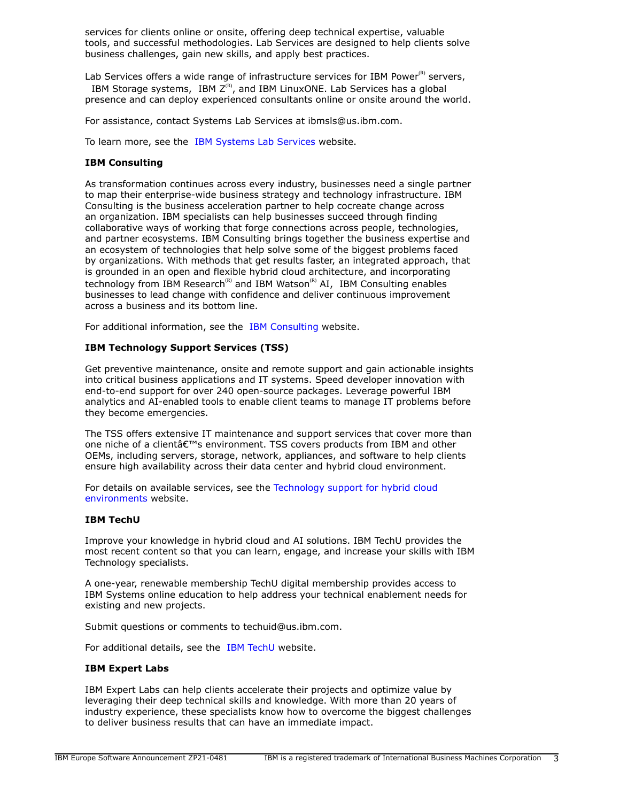services for clients online or onsite, offering deep technical expertise, valuable tools, and successful methodologies. Lab Services are designed to help clients solve business challenges, gain new skills, and apply best practices.

Lab Services offers a wide range of infrastructure services for IBM Power ${}^{\text{\tiny(R)}}$  servers, IBM Storage systems, IBM  $Z^{(R)}$ , and IBM LinuxONE. Lab Services has a global presence and can deploy experienced consultants online or onsite around the world.

For assistance, contact Systems Lab Services at ibmsls@us.ibm.com.

To learn more, see the [IBM Systems Lab Services](https://www.ibm.com/it-infrastructure/services/lab-services) website.

## **IBM Consulting**

As transformation continues across every industry, businesses need a single partner to map their enterprise-wide business strategy and technology infrastructure. IBM Consulting is the business acceleration partner to help cocreate change across an organization. IBM specialists can help businesses succeed through finding collaborative ways of working that forge connections across people, technologies, and partner ecosystems. IBM Consulting brings together the business expertise and an ecosystem of technologies that help solve some of the biggest problems faced by organizations. With methods that get results faster, an integrated approach, that is grounded in an open and flexible hybrid cloud architecture, and incorporating technology from IBM Research<sup>(R)</sup> and IBM Watson<sup>(R)</sup> AI, IBM Consulting enables businesses to lead change with confidence and deliver continuous improvement across a business and its bottom line.

For additional information, see the [IBM Consulting](https://www.ibm.com/consulting) website.

## **IBM Technology Support Services (TSS)**

Get preventive maintenance, onsite and remote support and gain actionable insights into critical business applications and IT systems. Speed developer innovation with end-to-end support for over 240 open-source packages. Leverage powerful IBM analytics and AI-enabled tools to enable client teams to manage IT problems before they become emergencies.

The TSS offers extensive IT maintenance and support services that cover more than one niche of a client's environment. TSS covers products from IBM and other OEMs, including servers, storage, network, appliances, and software to help clients ensure high availability across their data center and hybrid cloud environment.

For details on available services, see the [Technology support for hybrid cloud](https://www.ibm.com/services/technology-support) [environments](https://www.ibm.com/services/technology-support) website.

#### **IBM TechU**

Improve your knowledge in hybrid cloud and AI solutions. IBM TechU provides the most recent content so that you can learn, engage, and increase your skills with IBM Technology specialists.

A one-year, renewable membership TechU digital membership provides access to IBM Systems online education to help address your technical enablement needs for existing and new projects.

Submit questions or comments to techuid@us.ibm.com.

For additional details, see the [IBM TechU](https://www.ibm.com/training/events/) website.

## **IBM Expert Labs**

IBM Expert Labs can help clients accelerate their projects and optimize value by leveraging their deep technical skills and knowledge. With more than 20 years of industry experience, these specialists know how to overcome the biggest challenges to deliver business results that can have an immediate impact.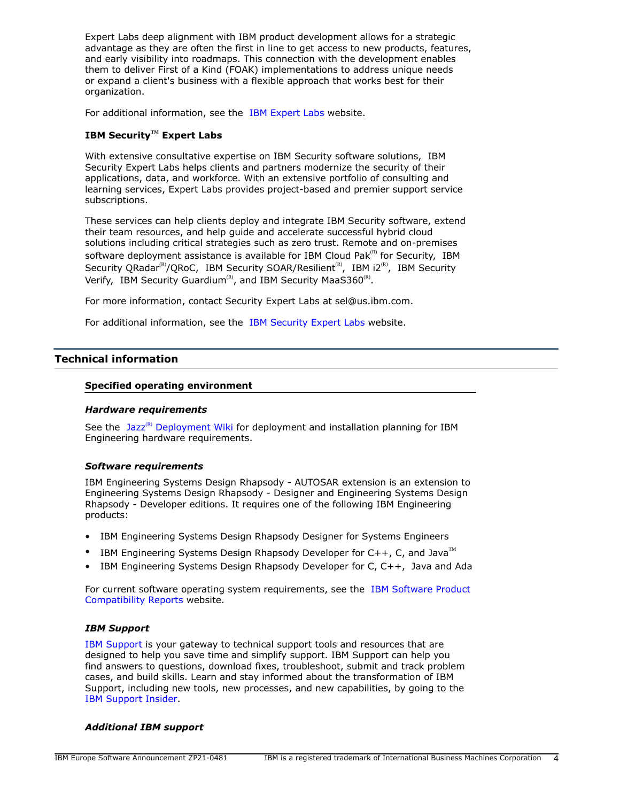Expert Labs deep alignment with IBM product development allows for a strategic advantage as they are often the first in line to get access to new products, features, and early visibility into roadmaps. This connection with the development enables them to deliver First of a Kind (FOAK) implementations to address unique needs or expand a client's business with a flexible approach that works best for their organization.

For additional information, see the [IBM Expert Labs](https://www.ibm.com/products/expertlabs) website.

# **IBM SecurityTM Expert Labs**

With extensive consultative expertise on IBM Security software solutions, IBM Security Expert Labs helps clients and partners modernize the security of their applications, data, and workforce. With an extensive portfolio of consulting and learning services, Expert Labs provides project-based and premier support service subscriptions.

These services can help clients deploy and integrate IBM Security software, extend their team resources, and help guide and accelerate successful hybrid cloud solutions including critical strategies such as zero trust. Remote and on-premises software deployment assistance is available for IBM Cloud Pak $R<sup>(R)</sup>$  for Security, IBM Security QRadar<sup>(R)</sup>/QRoC, IBM Security SOAR/Resilient<sup>(R)</sup>, IBM i2<sup>(R)</sup>, IBM Security Verify, IBM Security Guardium<sup>(R)</sup>, and IBM Security MaaS360<sup>(R)</sup>.

For more information, contact Security Expert Labs at sel@us.ibm.com.

For additional information, see the [IBM Security Expert Labs](https://www.ibm.com/security/security-expert-labs) website.

## <span id="page-3-0"></span>**Technical information**

## **Specified operating environment**

#### *Hardware requirements*

See the Jazz<sup>(R)</sup> [Deployment Wiki](https://jazz.net/deployment-wiki-home.jsp) for deployment and installation planning for IBM Engineering hardware requirements.

#### <span id="page-3-1"></span>*Software requirements*

IBM Engineering Systems Design Rhapsody - AUTOSAR extension is an extension to Engineering Systems Design Rhapsody - Designer and Engineering Systems Design Rhapsody - Developer editions. It requires one of the following IBM Engineering products:

- IBM Engineering Systems Design Rhapsody Designer for Systems Engineers
- IBM Engineering Systems Design Rhapsody Developer for  $C_{++}$ , C, and Java<sup>TM</sup>
- IBM Engineering Systems Design Rhapsody Developer for C, C++, Java and Ada

For current software operating system requirements, see the [IBM Software Product](https://www.ibm.com/software/reports/compatibility/clarity/index.html) [Compatibility Reports](https://www.ibm.com/software/reports/compatibility/clarity/index.html) website.

#### *IBM Support*

[IBM Support](https://www.ibm.com/support) is your gateway to technical support tools and resources that are designed to help you save time and simplify support. IBM Support can help you find answers to questions, download fixes, troubleshoot, submit and track problem cases, and build skills. Learn and stay informed about the transformation of IBM Support, including new tools, new processes, and new capabilities, by going to the [IBM Support Insider](https://www.ibm.com/support/insider).

#### *Additional IBM support*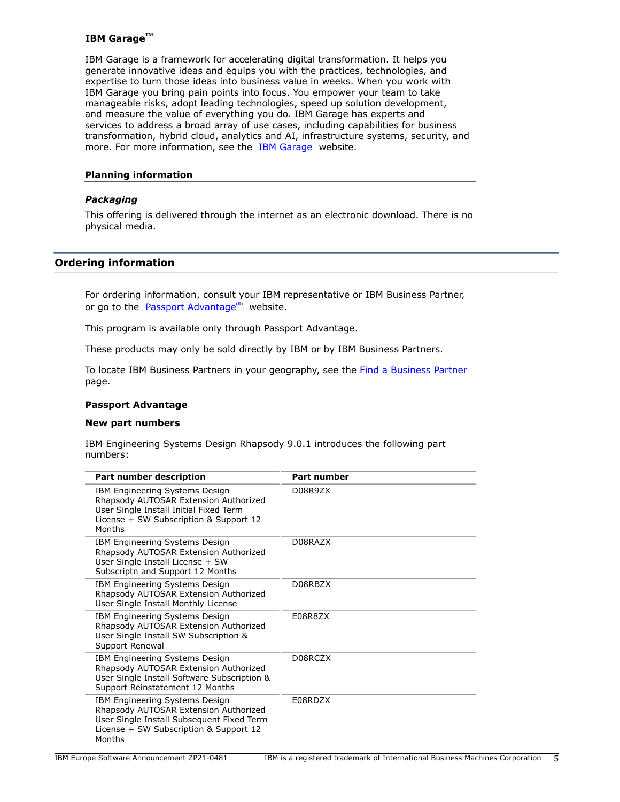## **IBM GarageTM**

IBM Garage is a framework for accelerating digital transformation. It helps you generate innovative ideas and equips you with the practices, technologies, and expertise to turn those ideas into business value in weeks. When you work with IBM Garage you bring pain points into focus. You empower your team to take manageable risks, adopt leading technologies, speed up solution development, and measure the value of everything you do. IBM Garage has experts and services to address a broad array of use cases, including capabilities for business transformation, hybrid cloud, analytics and AI, infrastructure systems, security, and more. For more information, see the [IBM Garage](https://ibm.com/garage) website.

#### **Planning information**

## *Packaging*

This offering is delivered through the internet as an electronic download. There is no physical media.

## <span id="page-4-0"></span>**Ordering information**

For ordering information, consult your IBM representative or IBM Business Partner, or go to the [Passport Advantage](https://www.ibm.com/software/passportadvantage/) $(R)$  website.

This program is available only through Passport Advantage.

These products may only be sold directly by IBM or by IBM Business Partners.

To locate IBM Business Partners in your geography, see the [Find a Business Partner](http://www.ibm.com/partnerworld/wps/bplocator/) page.

#### **Passport Advantage**

#### **New part numbers**

IBM Engineering Systems Design Rhapsody 9.0.1 introduces the following part numbers:

| Part number description                                                                                                                                                  | Part number |
|--------------------------------------------------------------------------------------------------------------------------------------------------------------------------|-------------|
| IBM Engineering Systems Design<br>Rhapsody AUTOSAR Extension Authorized<br>User Single Install Initial Fixed Term<br>License + SW Subscription & Support 12<br>Months    | D08R9ZX     |
| IBM Engineering Systems Design<br>Rhapsody AUTOSAR Extension Authorized<br>User Single Install License + SW<br>Subscriptn and Support 12 Months                          | D08RAZX     |
| IBM Engineering Systems Design<br>Rhapsody AUTOSAR Extension Authorized<br>User Single Install Monthly License                                                           | D08RBZX     |
| IBM Engineering Systems Design<br>Rhapsody AUTOSAR Extension Authorized<br>User Single Install SW Subscription &<br>Support Renewal                                      | E08R8ZX     |
| IBM Engineering Systems Design<br>Rhapsody AUTOSAR Extension Authorized<br>User Single Install Software Subscription &<br>Support Reinstatement 12 Months                | D08RCZX     |
| IBM Engineering Systems Design<br>Rhapsody AUTOSAR Extension Authorized<br>User Single Install Subsequent Fixed Term<br>License + SW Subscription & Support 12<br>Months | E08RDZX     |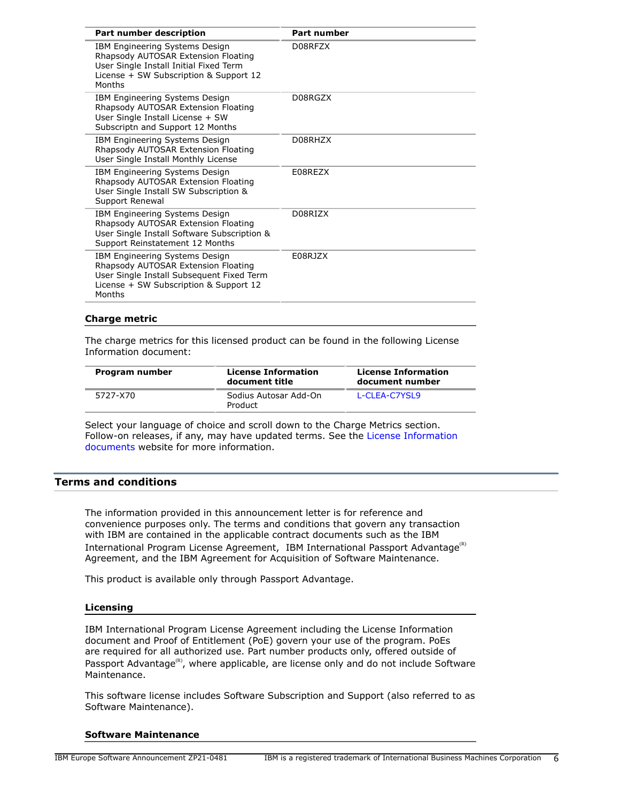| <b>Part number description</b>                                                                                                                                         | Part number |  |
|------------------------------------------------------------------------------------------------------------------------------------------------------------------------|-------------|--|
| IBM Engineering Systems Design<br>Rhapsody AUTOSAR Extension Floating<br>User Single Install Initial Fixed Term<br>License + SW Subscription & Support 12<br>Months    | D08RFZX     |  |
| IBM Engineering Systems Design<br>Rhapsody AUTOSAR Extension Floating<br>User Single Install License + SW<br>Subscriptn and Support 12 Months                          | D08RGZX     |  |
| IBM Engineering Systems Design<br>Rhapsody AUTOSAR Extension Floating<br>User Single Install Monthly License                                                           | D08RHZX     |  |
| IBM Engineering Systems Design<br>Rhapsody AUTOSAR Extension Floating<br>User Single Install SW Subscription &<br>Support Renewal                                      | E08REZX     |  |
| IBM Engineering Systems Design<br>Rhapsody AUTOSAR Extension Floating<br>User Single Install Software Subscription &<br>Support Reinstatement 12 Months                | D08RIZX     |  |
| IBM Engineering Systems Design<br>Rhapsody AUTOSAR Extension Floating<br>User Single Install Subsequent Fixed Term<br>License + SW Subscription & Support 12<br>Months | F08R17X     |  |

#### **Charge metric**

The charge metrics for this licensed product can be found in the following License Information document:

| Program number | <b>License Information</b><br>document title | <b>License Information</b><br>document number |
|----------------|----------------------------------------------|-----------------------------------------------|
| 5727-X70       | Sodius Autosar Add-On<br>Product             | L-CLEA-C7YSL9                                 |

Select your language of choice and scroll down to the Charge Metrics section. Follow-on releases, if any, may have updated terms. See the [License Information](https://www.ibm.com/software/sla/sladb.nsf/search?OpenForm) [documents](https://www.ibm.com/software/sla/sladb.nsf/search?OpenForm) website for more information.

## <span id="page-5-0"></span>**Terms and conditions**

The information provided in this announcement letter is for reference and convenience purposes only. The terms and conditions that govern any transaction with IBM are contained in the applicable contract documents such as the IBM International Program License Agreement, IBM International Passport Advantage<sup>(R)</sup> Agreement, and the IBM Agreement for Acquisition of Software Maintenance.

This product is available only through Passport Advantage.

#### **Licensing**

IBM International Program License Agreement including the License Information document and Proof of Entitlement (PoE) govern your use of the program. PoEs are required for all authorized use. Part number products only, offered outside of Passport Advantage<sup>(R)</sup>, where applicable, are license only and do not include Software Maintenance.

This software license includes Software Subscription and Support (also referred to as Software Maintenance).

#### **Software Maintenance**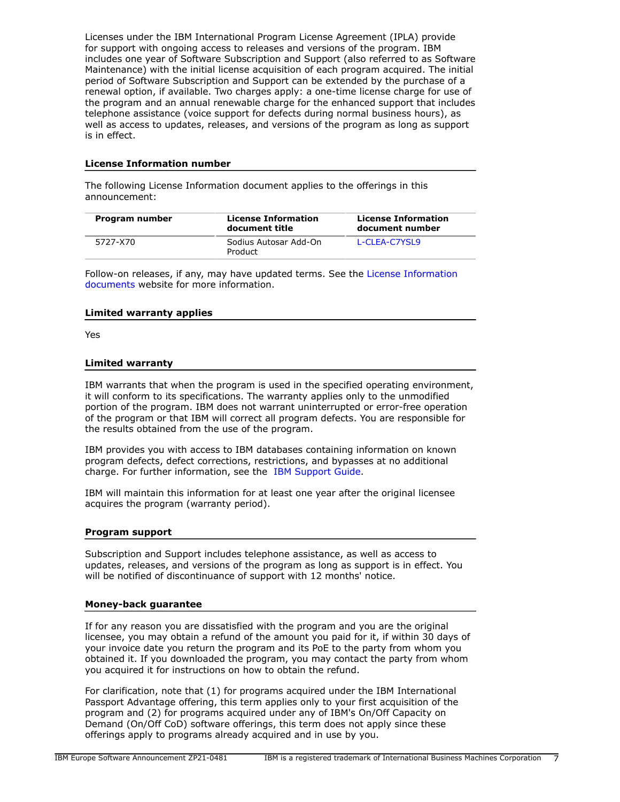Licenses under the IBM International Program License Agreement (IPLA) provide for support with ongoing access to releases and versions of the program. IBM includes one year of Software Subscription and Support (also referred to as Software Maintenance) with the initial license acquisition of each program acquired. The initial period of Software Subscription and Support can be extended by the purchase of a renewal option, if available. Two charges apply: a one-time license charge for use of the program and an annual renewable charge for the enhanced support that includes telephone assistance (voice support for defects during normal business hours), as well as access to updates, releases, and versions of the program as long as support is in effect.

## **License Information number**

The following License Information document applies to the offerings in this announcement:

| Program number | <b>License Information</b><br>document title | <b>License Information</b><br>document number |
|----------------|----------------------------------------------|-----------------------------------------------|
| 5727-X70       | Sodius Autosar Add-On<br>Product             | L-CLEA-C7YSL9                                 |

Follow-on releases, if any, may have updated terms. See the [License Information](https://www.ibm.com/software/sla/sladb.nsf/search?OpenForm) [documents](https://www.ibm.com/software/sla/sladb.nsf/search?OpenForm) website for more information.

## **Limited warranty applies**

Yes

## **Limited warranty**

IBM warrants that when the program is used in the specified operating environment, it will conform to its specifications. The warranty applies only to the unmodified portion of the program. IBM does not warrant uninterrupted or error-free operation of the program or that IBM will correct all program defects. You are responsible for the results obtained from the use of the program.

IBM provides you with access to IBM databases containing information on known program defects, defect corrections, restrictions, and bypasses at no additional charge. For further information, see the [IBM Support Guide](http://www.ibm.com/support/customercare/sas/f/handbook/home.html).

IBM will maintain this information for at least one year after the original licensee acquires the program (warranty period).

#### **Program support**

Subscription and Support includes telephone assistance, as well as access to updates, releases, and versions of the program as long as support is in effect. You will be notified of discontinuance of support with 12 months' notice.

## **Money-back guarantee**

If for any reason you are dissatisfied with the program and you are the original licensee, you may obtain a refund of the amount you paid for it, if within 30 days of your invoice date you return the program and its PoE to the party from whom you obtained it. If you downloaded the program, you may contact the party from whom you acquired it for instructions on how to obtain the refund.

For clarification, note that (1) for programs acquired under the IBM International Passport Advantage offering, this term applies only to your first acquisition of the program and (2) for programs acquired under any of IBM's On/Off Capacity on Demand (On/Off CoD) software offerings, this term does not apply since these offerings apply to programs already acquired and in use by you.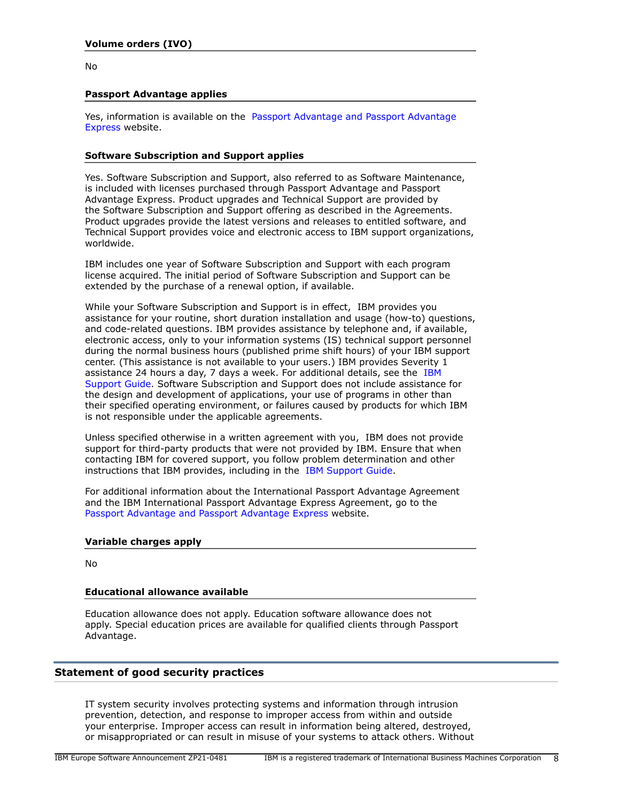No

## **Passport Advantage applies**

Yes, information is available on the [Passport Advantage and Passport Advantage](http://www.ibm.com/software/passportadvantage) [Express](http://www.ibm.com/software/passportadvantage) website.

## **Software Subscription and Support applies**

Yes. Software Subscription and Support, also referred to as Software Maintenance, is included with licenses purchased through Passport Advantage and Passport Advantage Express. Product upgrades and Technical Support are provided by the Software Subscription and Support offering as described in the Agreements. Product upgrades provide the latest versions and releases to entitled software, and Technical Support provides voice and electronic access to IBM support organizations, worldwide.

IBM includes one year of Software Subscription and Support with each program license acquired. The initial period of Software Subscription and Support can be extended by the purchase of a renewal option, if available.

While your Software Subscription and Support is in effect, IBM provides you assistance for your routine, short duration installation and usage (how-to) questions, and code-related questions. IBM provides assistance by telephone and, if available, electronic access, only to your information systems (IS) technical support personnel during the normal business hours (published prime shift hours) of your IBM support center. (This assistance is not available to your users.) IBM provides Severity 1 assistance 24 hours a day, 7 days a week. For additional details, see the [IBM](http://www.ibm.com/support/customercare/sas/f/handbook/home.html) [Support Guide](http://www.ibm.com/support/customercare/sas/f/handbook/home.html). Software Subscription and Support does not include assistance for the design and development of applications, your use of programs in other than their specified operating environment, or failures caused by products for which IBM is not responsible under the applicable agreements.

Unless specified otherwise in a written agreement with you, IBM does not provide support for third-party products that were not provided by IBM. Ensure that when contacting IBM for covered support, you follow problem determination and other instructions that IBM provides, including in the [IBM Support Guide.](http://www.ibm.com/support/customercare/sas/f/handbook/home.html)

For additional information about the International Passport Advantage Agreement and the IBM International Passport Advantage Express Agreement, go to the [Passport Advantage and Passport Advantage Express](http://www.ibm.com/software/passportadvantage) website.

## **Variable charges apply**

No

## **Educational allowance available**

Education allowance does not apply. Education software allowance does not apply. Special education prices are available for qualified clients through Passport Advantage.

## **Statement of good security practices**

IT system security involves protecting systems and information through intrusion prevention, detection, and response to improper access from within and outside your enterprise. Improper access can result in information being altered, destroyed, or misappropriated or can result in misuse of your systems to attack others. Without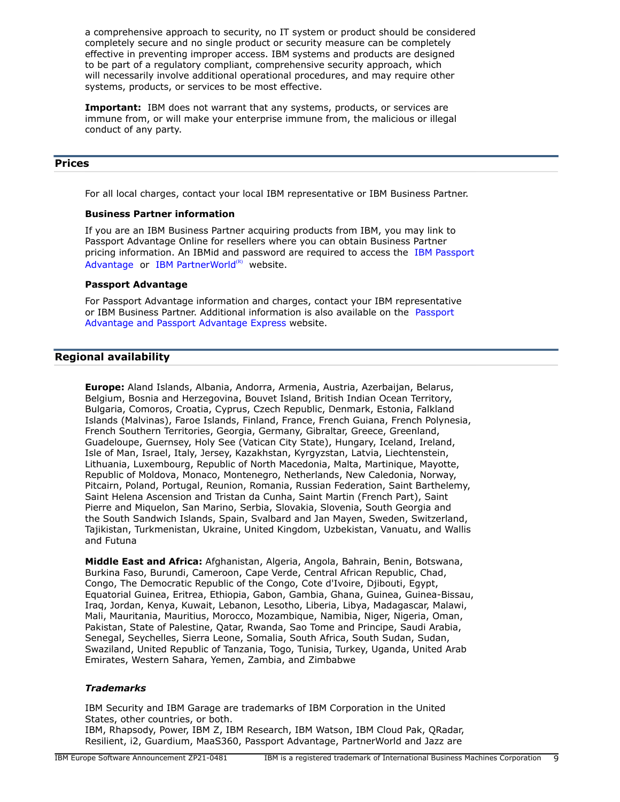a comprehensive approach to security, no IT system or product should be considered completely secure and no single product or security measure can be completely effective in preventing improper access. IBM systems and products are designed to be part of a regulatory compliant, comprehensive security approach, which will necessarily involve additional operational procedures, and may require other systems, products, or services to be most effective.

**Important:** IBM does not warrant that any systems, products, or services are immune from, or will make your enterprise immune from, the malicious or illegal conduct of any party.

## <span id="page-8-0"></span>**Prices**

For all local charges, contact your local IBM representative or IBM Business Partner.

#### **Business Partner information**

If you are an IBM Business Partner acquiring products from IBM, you may link to Passport Advantage Online for resellers where you can obtain Business Partner pricing information. An IBMid and password are required to access the [IBM Passport](https://www.ibm.com/software/passportadvantage/pao_reseller.html) [Advantage](https://www.ibm.com/software/passportadvantage/pao_reseller.html) or [IBM PartnerWorld](https://www.ibm.com/partnerworld/resources/sell) $(R)$  website.

## **Passport Advantage**

For Passport Advantage information and charges, contact your IBM representative or IBM Business Partner. Additional information is also available on the [Passport](http://www.ibm.com/software/passportadvantage) [Advantage and Passport Advantage Express](http://www.ibm.com/software/passportadvantage) website.

## <span id="page-8-1"></span>**Regional availability**

**Europe:** Aland Islands, Albania, Andorra, Armenia, Austria, Azerbaijan, Belarus, Belgium, Bosnia and Herzegovina, Bouvet Island, British Indian Ocean Territory, Bulgaria, Comoros, Croatia, Cyprus, Czech Republic, Denmark, Estonia, Falkland Islands (Malvinas), Faroe Islands, Finland, France, French Guiana, French Polynesia, French Southern Territories, Georgia, Germany, Gibraltar, Greece, Greenland, Guadeloupe, Guernsey, Holy See (Vatican City State), Hungary, Iceland, Ireland, Isle of Man, Israel, Italy, Jersey, Kazakhstan, Kyrgyzstan, Latvia, Liechtenstein, Lithuania, Luxembourg, Republic of North Macedonia, Malta, Martinique, Mayotte, Republic of Moldova, Monaco, Montenegro, Netherlands, New Caledonia, Norway, Pitcairn, Poland, Portugal, Reunion, Romania, Russian Federation, Saint Barthelemy, Saint Helena Ascension and Tristan da Cunha, Saint Martin (French Part), Saint Pierre and Miquelon, San Marino, Serbia, Slovakia, Slovenia, South Georgia and the South Sandwich Islands, Spain, Svalbard and Jan Mayen, Sweden, Switzerland, Tajikistan, Turkmenistan, Ukraine, United Kingdom, Uzbekistan, Vanuatu, and Wallis and Futuna

**Middle East and Africa:** Afghanistan, Algeria, Angola, Bahrain, Benin, Botswana, Burkina Faso, Burundi, Cameroon, Cape Verde, Central African Republic, Chad, Congo, The Democratic Republic of the Congo, Cote d'Ivoire, Djibouti, Egypt, Equatorial Guinea, Eritrea, Ethiopia, Gabon, Gambia, Ghana, Guinea, Guinea-Bissau, Iraq, Jordan, Kenya, Kuwait, Lebanon, Lesotho, Liberia, Libya, Madagascar, Malawi, Mali, Mauritania, Mauritius, Morocco, Mozambique, Namibia, Niger, Nigeria, Oman, Pakistan, State of Palestine, Qatar, Rwanda, Sao Tome and Principe, Saudi Arabia, Senegal, Seychelles, Sierra Leone, Somalia, South Africa, South Sudan, Sudan, Swaziland, United Republic of Tanzania, Togo, Tunisia, Turkey, Uganda, United Arab Emirates, Western Sahara, Yemen, Zambia, and Zimbabwe

# *Trademarks*

IBM Security and IBM Garage are trademarks of IBM Corporation in the United States, other countries, or both.

IBM, Rhapsody, Power, IBM Z, IBM Research, IBM Watson, IBM Cloud Pak, QRadar, Resilient, i2, Guardium, MaaS360, Passport Advantage, PartnerWorld and Jazz are